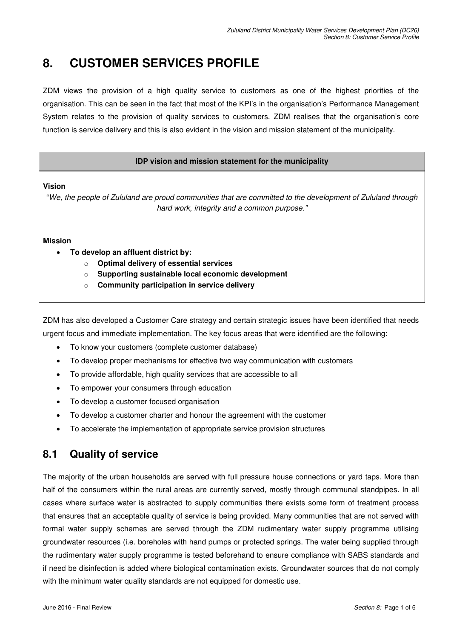## **8. CUSTOMER SERVICES PROFILE**

ZDM views the provision of a high quality service to customers as one of the highest priorities of the organisation. This can be seen in the fact that most of the KPI's in the organisation's Performance Management System relates to the provision of quality services to customers. ZDM realises that the organisation's core function is service delivery and this is also evident in the vision and mission statement of the municipality.

#### **IDP vision and mission statement for the municipality**

**Vision** 

"*We, the people of Zululand are proud communities that are committed to the development of Zululand through hard work, integrity and a common purpose."*

#### **Mission**

- **To develop an affluent district by:** 
	- o **Optimal delivery of essential services**
	- o **Supporting sustainable local economic development**
	- o **Community participation in service delivery**

ZDM has also developed a Customer Care strategy and certain strategic issues have been identified that needs urgent focus and immediate implementation. The key focus areas that were identified are the following:

- To know your customers (complete customer database)
- To develop proper mechanisms for effective two way communication with customers
- To provide affordable, high quality services that are accessible to all
- To empower your consumers through education
- To develop a customer focused organisation
- To develop a customer charter and honour the agreement with the customer
- To accelerate the implementation of appropriate service provision structures

## **8.1 Quality of service**

The majority of the urban households are served with full pressure house connections or yard taps. More than half of the consumers within the rural areas are currently served, mostly through communal standpipes. In all cases where surface water is abstracted to supply communities there exists some form of treatment process that ensures that an acceptable quality of service is being provided. Many communities that are not served with formal water supply schemes are served through the ZDM rudimentary water supply programme utilising groundwater resources (i.e. boreholes with hand pumps or protected springs. The water being supplied through the rudimentary water supply programme is tested beforehand to ensure compliance with SABS standards and if need be disinfection is added where biological contamination exists. Groundwater sources that do not comply with the minimum water quality standards are not equipped for domestic use.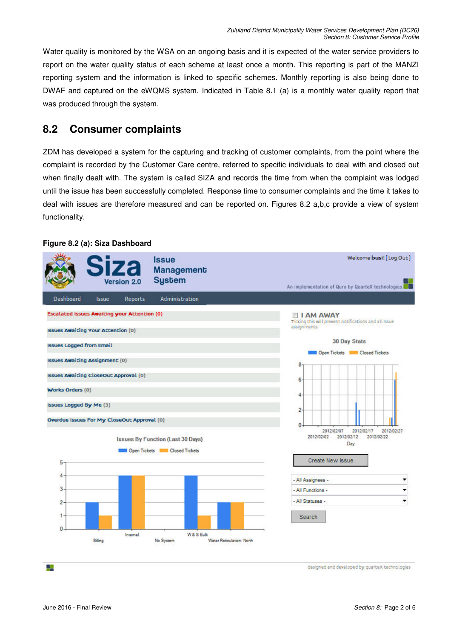Water quality is monitored by the WSA on an ongoing basis and it is expected of the water service providers to report on the water quality status of each scheme at least once a month. This reporting is part of the MANZI reporting system and the information is linked to specific schemes. Monthly reporting is also being done to DWAF and captured on the eWQMS system. Indicated in Table 8.1 (a) is a monthly water quality report that was produced through the system.

## **8.2 Consumer complaints**

ZDM has developed a system for the capturing and tracking of customer complaints, from the point where the complaint is recorded by the Customer Care centre, referred to specific individuals to deal with and closed out when finally dealt with. The system is called SIZA and records the time from when the complaint was lodged until the issue has been successfully completed. Response time to consumer complaints and the time it takes to deal with issues are therefore measured and can be reported on. Figures 8.2 a,b,c provide a view of system functionality.

# **Figure 8.2 (a): Siza Dashboard Issue**



designed and developed by quarteX technologies

48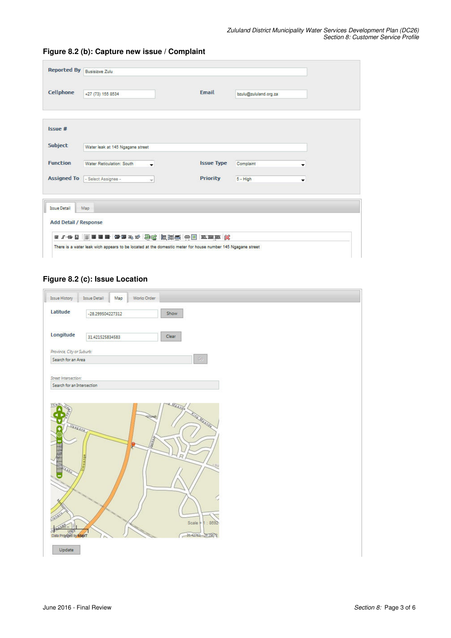|                 | Reported By Busisizwe Zulu        |                          |                   |                       |   |  |
|-----------------|-----------------------------------|--------------------------|-------------------|-----------------------|---|--|
| Cellphone       | +27 (73) 155 8534                 |                          | <b>Email</b>      | bzułu@zułułand.org.za |   |  |
| Is sue#         |                                   |                          |                   |                       |   |  |
| Subject         | Water leak at 145 Ngagane street  |                          |                   |                       |   |  |
| <b>Function</b> | Water Reticulation: South         | $\overline{\phantom{a}}$ | <b>Issue Type</b> | Complaint             | ▼ |  |
|                 | Assigned To   - Select Assignee - | *P.                      | <b>Priority</b>   | $5 - High$            | ۰ |  |

#### **Figure 8.2 (b): Capture new issue / Complaint**

### **Figure 8.2 (c): Issue Location**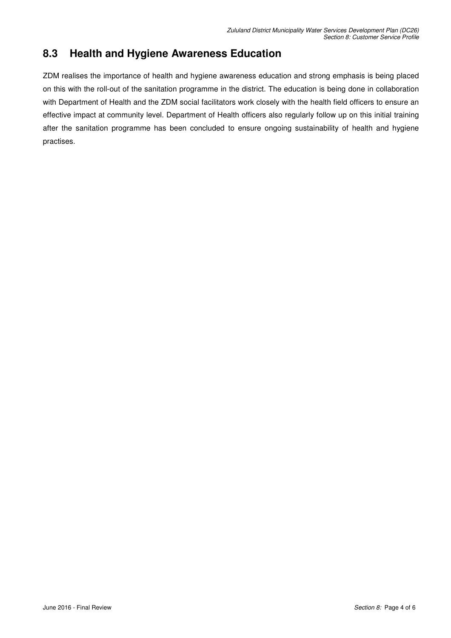## **8.3 Health and Hygiene Awareness Education**

ZDM realises the importance of health and hygiene awareness education and strong emphasis is being placed on this with the roll-out of the sanitation programme in the district. The education is being done in collaboration with Department of Health and the ZDM social facilitators work closely with the health field officers to ensure an effective impact at community level. Department of Health officers also regularly follow up on this initial training after the sanitation programme has been concluded to ensure ongoing sustainability of health and hygiene practises.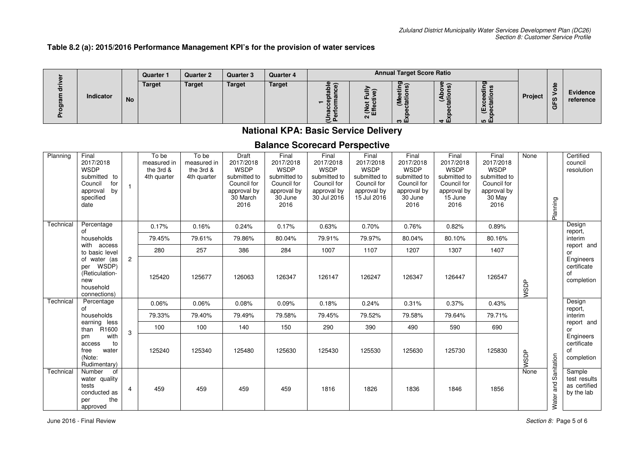#### **Table 8.2 (a): 2015/2016 Performance Management KPI's for the provision of water services**

|           |           |               |               |               |               |         | <b>Quarter 1</b> | <b>Quarter 2</b> | <b>Quarter 3</b> | <b>Quarter 4</b> |        | <b>Annual Target Score Ratio</b> |  |  |  |  |  |
|-----------|-----------|---------------|---------------|---------------|---------------|---------|------------------|------------------|------------------|------------------|--------|----------------------------------|--|--|--|--|--|
| Indicator | <b>No</b> | <b>Target</b> | <b>Target</b> | <b>Target</b> | <b>Target</b> | 一山<br>N | --<br>ະ<br>ത ш   | ∽<br>ਚ ⊞         | $\sim$<br>ഥ വ    | <b>Project</b>   | ທ<br>O | Evidence<br>reference            |  |  |  |  |  |

### **National KPA: Basic Service Delivery**

### **Balance Scorecard Perspective**

| Planning  | Final<br>2017/2018<br><b>WSDP</b><br>submitted to<br>Council<br>for<br>by<br>approval<br>specified<br>date |                | To be<br>measured in<br>the 3rd &<br>4th quarter | To be<br>measured in<br>the 3rd &<br>4th quarter | Draft<br>2017/2018<br><b>WSDP</b><br>submitted to<br>Council for<br>approval by<br>30 March<br>2016 | Final<br>2017/2018<br><b>WSDP</b><br>submitted to<br>Council for<br>approval by<br>30 June<br>2016 | Final<br>2017/2018<br><b>WSDP</b><br>submitted to<br>Council for<br>approval by<br>30 Jul 2016 | Final<br>2017/2018<br><b>WSDP</b><br>submitted to<br>Council for<br>approval by<br>15 Jul 2016 | Final<br>2017/2018<br><b>WSDP</b><br>submitted to<br>Council for<br>approval by<br>30 June<br>2016 | Final<br>2017/2018<br><b>WSDP</b><br>submitted to<br>Council for<br>approval by<br>15 June<br>2016 | Final<br>2017/2018<br><b>WSDP</b><br>submitted to<br>Council for<br>approval by<br>30 May<br>2016 | None   | Planning          | Certified<br>council<br>resolution                   |     |                       |     |  |  |
|-----------|------------------------------------------------------------------------------------------------------------|----------------|--------------------------------------------------|--------------------------------------------------|-----------------------------------------------------------------------------------------------------|----------------------------------------------------------------------------------------------------|------------------------------------------------------------------------------------------------|------------------------------------------------------------------------------------------------|----------------------------------------------------------------------------------------------------|----------------------------------------------------------------------------------------------------|---------------------------------------------------------------------------------------------------|--------|-------------------|------------------------------------------------------|-----|-----------------------|-----|--|--|
| Technical | Percentage<br>οf                                                                                           |                | 0.17%                                            | 0.16%                                            | 0.24%                                                                                               | 0.17%                                                                                              | 0.63%                                                                                          | 0.70%                                                                                          | 0.76%                                                                                              | 0.82%                                                                                              | 0.89%                                                                                             |        |                   | Design<br>report,                                    |     |                       |     |  |  |
|           | households<br>with access                                                                                  |                |                                                  |                                                  | 79.45%                                                                                              | 79.61%                                                                                             | 79.86%                                                                                         | 80.04%                                                                                         | 79.91%                                                                                             | 79.97%                                                                                             | 80.04%                                                                                            | 80.10% | 80.16%            |                                                      |     | interim<br>report and |     |  |  |
|           | to basic level                                                                                             |                |                                                  |                                                  | 280                                                                                                 | 257                                                                                                | 386                                                                                            | 284                                                                                            | 1007                                                                                               | 1107                                                                                               | 1207                                                                                              | 1307   | 1407              |                                                      |     | or                    |     |  |  |
|           | of water (as<br>WSDP)<br>per<br>(Reticulation-<br>new<br>household<br>connections)                         | $\overline{2}$ | 125420                                           | 125677                                           | 126063                                                                                              | 126347                                                                                             | 126147                                                                                         | 126247                                                                                         | 126347                                                                                             | 126447                                                                                             | 126547                                                                                            | WSDP   |                   | Engineers<br>certificate<br>of<br>completion         |     |                       |     |  |  |
| Technical | Percentage<br>οf                                                                                           |                | 0.06%                                            | 0.06%                                            | 0.08%                                                                                               | 0.09%                                                                                              | 0.18%                                                                                          | 0.24%                                                                                          | 0.31%                                                                                              | 0.37%                                                                                              | 0.43%                                                                                             |        |                   | Design<br>report,                                    |     |                       |     |  |  |
|           | households                                                                                                 |                | 79.33%                                           | 79.40%                                           | 79.49%                                                                                              | 79.58%                                                                                             | 79.45%                                                                                         | 79.52%                                                                                         | 79.58%                                                                                             | 79.64%                                                                                             | 79.71%                                                                                            |        |                   | interim                                              |     |                       |     |  |  |
|           | earning less<br>than R1600                                                                                 |                |                                                  |                                                  |                                                                                                     |                                                                                                    |                                                                                                | 3                                                                                              | 100                                                                                                | 100                                                                                                | 140                                                                                               | 150    | 290               | 390                                                  | 490 | 590                   | 690 |  |  |
|           | with<br>pm<br>to<br>access<br>free<br>water<br>(Note:<br>Rudimentary)                                      |                | 125240                                           | 125340                                           | 125480                                                                                              | 125630                                                                                             | 125430                                                                                         | 125530                                                                                         | 125630                                                                                             | 125730                                                                                             | 125830                                                                                            | WSDP   | anitation         | Engineers<br>certificate<br>of<br>completion         |     |                       |     |  |  |
| Technical | Number<br>of<br>water quality<br>tests<br>conducted as<br>the<br>per<br>approved                           | $\overline{4}$ | 459                                              | 459                                              | 459                                                                                                 | 459                                                                                                | 1816                                                                                           | 1826                                                                                           | 1836                                                                                               | 1846                                                                                               | 1856                                                                                              | None   | ၯ<br>and<br>Water | Sample<br>test results<br>as certified<br>by the lab |     |                       |     |  |  |